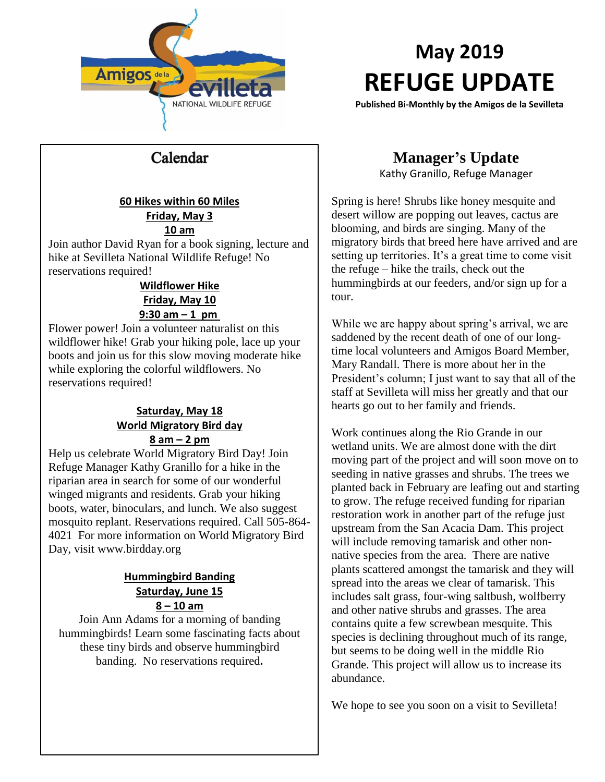

# **May 2019 REFUGE UPDATE**

**Published Bi-Monthly by the Amigos de la Sevilleta**

### Calendar

#### **60 Hikes within 60 Miles Friday, May 3 10 am**

Join author David Ryan for a book signing, lecture and hike at Sevilleta National Wildlife Refuge! No reservations required!

### **Wildflower Hike Friday, May 10 9:30 am – 1 pm**

Flower power! Join a volunteer naturalist on this wildflower hike! Grab your hiking pole, lace up your boots and join us for this slow moving moderate hike while exploring the colorful wildflowers. No reservations required!

#### **Saturday, May 18 World Migratory Bird day 8 am – 2 pm**

Help us celebrate World Migratory Bird Day! Join Refuge Manager Kathy Granillo for a hike in the riparian area in search for some of our wonderful winged migrants and residents. Grab your hiking boots, water, binoculars, and lunch. We also suggest mosquito replant. Reservations required. Call 505-864- 4021 For more information on World Migratory Bird Day, visit [www.birdday.org](http://www.birdday.org/)

#### **Hummingbird Banding Saturday, June 15 8 – 10 am**

Join Ann Adams for a morning of banding hummingbirds! Learn some fascinating facts about these tiny birds and observe hummingbird banding. No reservations required**.**

### **Manager's Update**

Kathy Granillo, Refuge Manager

Spring is here! Shrubs like honey mesquite and desert willow are popping out leaves, cactus are blooming, and birds are singing. Many of the migratory birds that breed here have arrived and are setting up territories. It's a great time to come visit the refuge – hike the trails, check out the hummingbirds at our feeders, and/or sign up for a tour.

While we are happy about spring's arrival, we are saddened by the recent death of one of our longtime local volunteers and Amigos Board Member, Mary Randall. There is more about her in the President's column; I just want to say that all of the staff at Sevilleta will miss her greatly and that our hearts go out to her family and friends.

Work continues along the Rio Grande in our wetland units. We are almost done with the dirt moving part of the project and will soon move on to seeding in native grasses and shrubs. The trees we planted back in February are leafing out and starting to grow. The refuge received funding for riparian restoration work in another part of the refuge just upstream from the San Acacia Dam. This project will include removing tamarisk and other nonnative species from the area. There are native plants scattered amongst the tamarisk and they will spread into the areas we clear of tamarisk. This includes salt grass, four-wing saltbush, wolfberry and other native shrubs and grasses. The area contains quite a few screwbean mesquite. This species is declining throughout much of its range, but seems to be doing well in the middle Rio Grande. This project will allow us to increase its abundance.

We hope to see you soon on a visit to Sevilleta!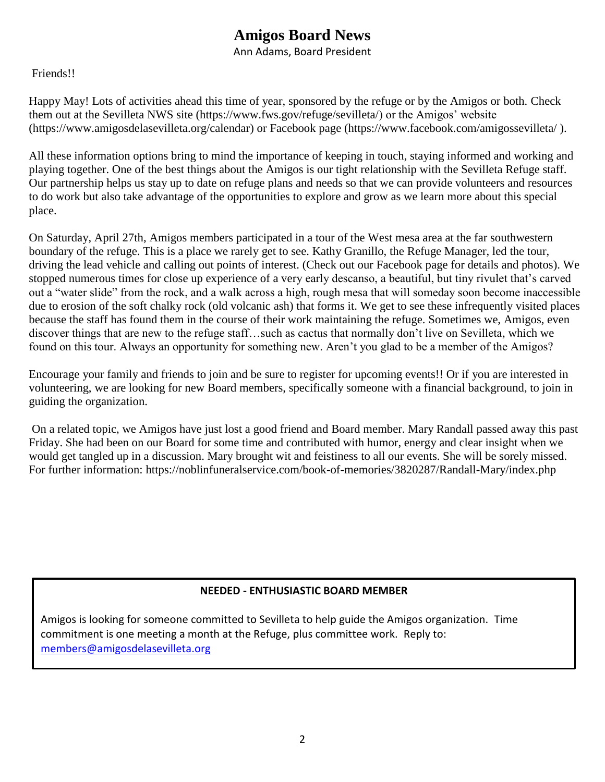### **Amigos Board News**

Ann Adams, Board President

### Friends!!

Happy May! Lots of activities ahead this time of year, sponsored by the refuge or by the Amigos or both. Check them out at the Sevilleta NWS site [\(https://www.fws.gov/refuge/sevilleta/\)](https://www.fws.gov/refuge/sevilleta/) or the Amigos' website [\(https://www.amigosdelasevilleta.org/calendar\)](https://www.amigosdelasevilleta.org/calendar) or Facebook page [\(https://www.facebook.com/amigossevilleta/](https://www.facebook.com/amigossevilleta/) ).

All these information options bring to mind the importance of keeping in touch, staying informed and working and playing together. One of the best things about the Amigos is our tight relationship with the Sevilleta Refuge staff. Our partnership helps us stay up to date on refuge plans and needs so that we can provide volunteers and resources to do work but also take advantage of the opportunities to explore and grow as we learn more about this special place.

On Saturday, April 27th, Amigos members participated in a tour of the West mesa area at the far southwestern boundary of the refuge. This is a place we rarely get to see. Kathy Granillo, the Refuge Manager, led the tour, driving the lead vehicle and calling out points of interest. (Check out our Facebook page for details and photos). We stopped numerous times for close up experience of a very early descanso, a beautiful, but tiny rivulet that's carved out a "water slide" from the rock, and a walk across a high, rough mesa that will someday soon become inaccessible due to erosion of the soft chalky rock (old volcanic ash) that forms it. We get to see these infrequently visited places because the staff has found them in the course of their work maintaining the refuge. Sometimes we, Amigos, even discover things that are new to the refuge staff…such as cactus that normally don't live on Sevilleta, which we found on this tour. Always an opportunity for something new. Aren't you glad to be a member of the Amigos?

Encourage your family and friends to join and be sure to register for upcoming events!! Or if you are interested in volunteering, we are looking for new Board members, specifically someone with a financial background, to join in guiding the organization.

On a related topic, we Amigos have just lost a good friend and Board member. Mary Randall passed away this past Friday. She had been on our Board for some time and contributed with humor, energy and clear insight when we would get tangled up in a discussion. Mary brought wit and feistiness to all our events. She will be sorely missed. For further information:<https://noblinfuneralservice.com/book-of-memories/3820287/Randall-Mary/index.php>

### **NEEDED - ENTHUSIASTIC BOARD MEMBER**

Amigos is looking for someone committed to Sevilleta to help guide the Amigos organization. Time commitment is one meeting a month at the Refuge, plus committee work. Reply to: [members@amigosdelasevilleta.org](mailto:members@amigosdelasevilleta.org)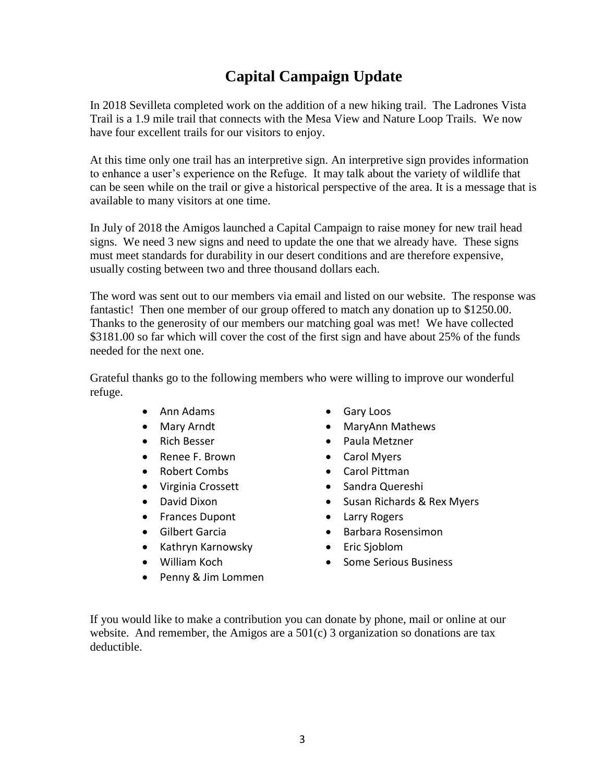## **Capital Campaign Update**

In 2018 Sevilleta completed work on the addition of a new hiking trail. The Ladrones Vista Trail is a 1.9 mile trail that connects with the Mesa View and Nature Loop Trails. We now have four excellent trails for our visitors to enjoy.

At this time only one trail has an interpretive sign. An interpretive sign provides information to enhance a user's experience on the Refuge. It may talk about the variety of wildlife that can be seen while on the trail or give a historical perspective of the area. It is a message that is available to many visitors at one time.

In July of 2018 the Amigos launched a Capital Campaign to raise money for new trail head signs. We need 3 new signs and need to update the one that we already have. These signs must meet standards for durability in our desert conditions and are therefore expensive, usually costing between two and three thousand dollars each.

The word was sent out to our members via email and listed on our website. The response was fantastic! Then one member of our group offered to match any donation up to \$1250.00. Thanks to the generosity of our members our matching goal was met! We have collected \$3181.00 so far which will cover the cost of the first sign and have about 25% of the funds needed for the next one.

Grateful thanks go to the following members who were willing to improve our wonderful refuge.

- Ann Adams
- Mary Arndt
- Rich Besser
- Renee F. Brown
- Robert Combs
- Virginia Crossett
- David Dixon
- Frances Dupont
- Gilbert Garcia
- Kathryn Karnowsky
- William Koch
- Penny & Jim Lommen
- Gary Loos
- MaryAnn Mathews
- Paula Metzner
- Carol Myers
- Carol Pittman
- Sandra Quereshi
- Susan Richards & Rex Myers
- Larry Rogers
- Barbara Rosensimon
- Eric Sjoblom
- Some Serious Business

If you would like to make a contribution you can donate by phone, mail or online at our website. And remember, the Amigos are a  $501(c)$  3 organization so donations are tax deductible.